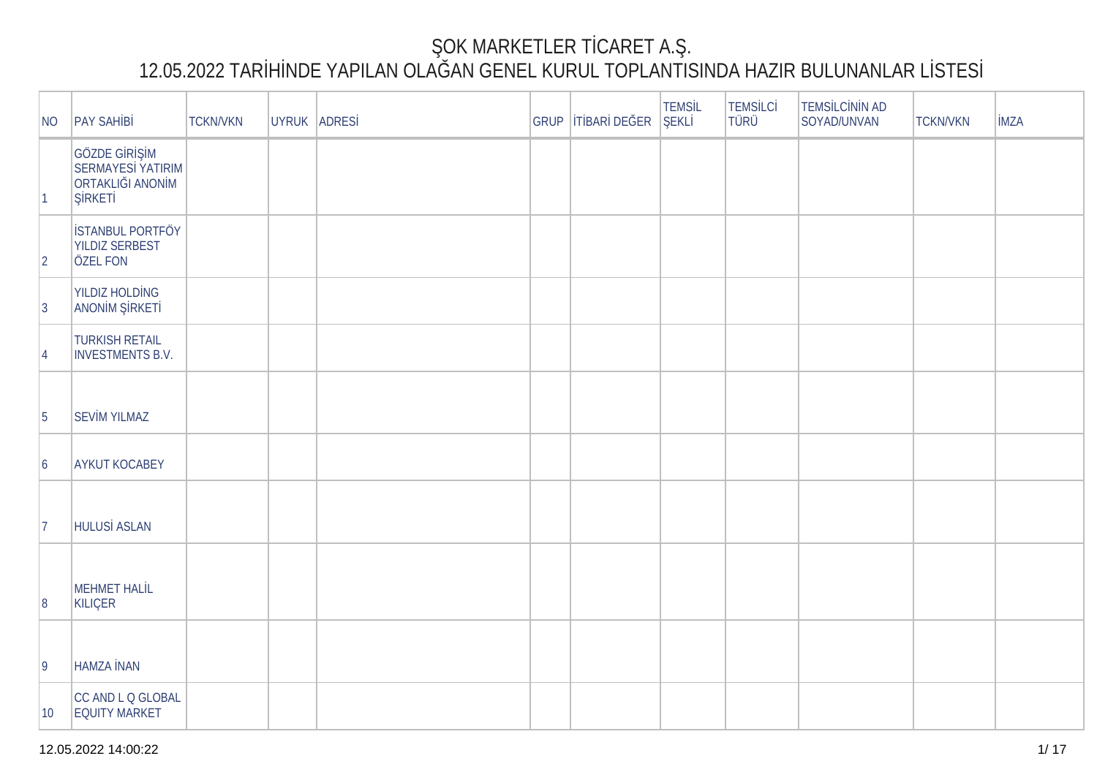## OK MARKETLER T CARET A.

## 12.05.2022 TAR HINDE YAPILAN OLA LAN GENEL KURUL TOPLANTISINDA HAZIR BULUNANLAR LISTES

| NO              | <b>PAY SAH B</b>                                                                 | <b>TCKN/VKN</b> | UYRUK ADRES |  | GRUP   T BAR DE ER | <b>TEMSL</b><br>EKL | <b>TEMSLC</b><br><b>TÜRÜ</b> | TEMS LC N N AD<br>SOYAD/UNVAN | <b>TCKN/VKN</b> | <b>MZA</b> |
|-----------------|----------------------------------------------------------------------------------|-----------------|-------------|--|--------------------|---------------------|------------------------------|-------------------------------|-----------------|------------|
| $\vert$ 1       | GÖZDE G R M<br><b>SERMAYES YATIRIM</b><br><b>ORTAKLI I ANON M</b><br><b>RKET</b> |                 |             |  |                    |                     |                              |                               |                 |            |
| $ 2\rangle$     | STANBUL PORTFÖY<br><b>YILDIZ SERBEST</b><br><b>ÖZEL FON</b>                      |                 |             |  |                    |                     |                              |                               |                 |            |
| $ 3\rangle$     | <b>YILDIZ HOLD NG</b><br>ANON M RKET                                             |                 |             |  |                    |                     |                              |                               |                 |            |
| 4               | <b>TURKISH RETAIL</b><br><b>INVESTMENTS B.V.</b>                                 |                 |             |  |                    |                     |                              |                               |                 |            |
| $\overline{5}$  | <b>SEV M YILMAZ</b>                                                              |                 |             |  |                    |                     |                              |                               |                 |            |
| $\vert 6 \vert$ | <b>AYKUT KOCABEY</b>                                                             |                 |             |  |                    |                     |                              |                               |                 |            |
| 17              | HULUS ASLAN                                                                      |                 |             |  |                    |                     |                              |                               |                 |            |
| 8               | <b>MEHMET HALL</b><br>KILIÇER                                                    |                 |             |  |                    |                     |                              |                               |                 |            |
| $ 9\rangle$     | HAMZA NAN                                                                        |                 |             |  |                    |                     |                              |                               |                 |            |
| $ 10\rangle$    | CC AND L Q GLOBAL<br><b>EQUITY MARKET</b>                                        |                 |             |  |                    |                     |                              |                               |                 |            |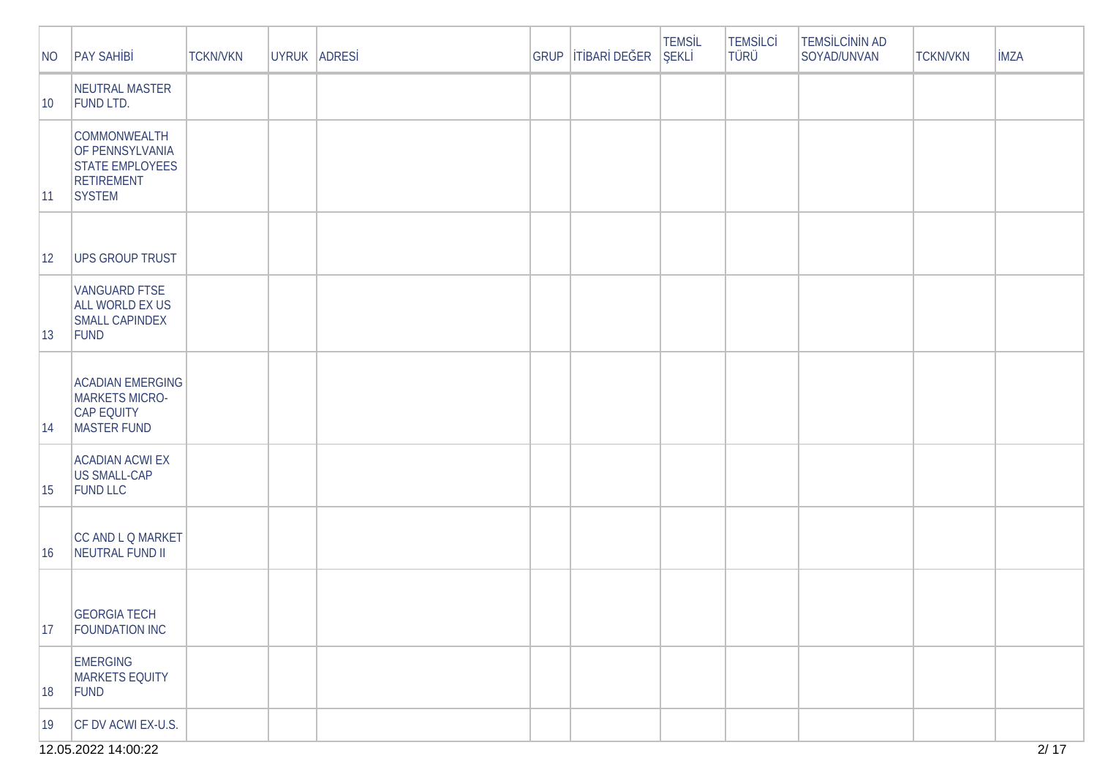| NO           | <b>PAY SAH B</b>                                                                                | <b>TCKN/VKN</b> | UYRUK ADRES | GRUP | T BAR DE ER | <b>TEMSL</b><br>EKL | <b>TEMS LC</b><br>TÜRÜ | <b>TEMS LC N N AD</b><br>SOYAD/UNVAN | <b>TCKN/VKN</b> | <b>MZA</b> |
|--------------|-------------------------------------------------------------------------------------------------|-----------------|-------------|------|-------------|---------------------|------------------------|--------------------------------------|-----------------|------------|
| $ 10\rangle$ | NEUTRAL MASTER<br><b>FUND LTD.</b>                                                              |                 |             |      |             |                     |                        |                                      |                 |            |
| $ 11\rangle$ | <b>COMMONWEALTH</b><br>OF PENNSYLVANIA<br><b>STATE EMPLOYEES</b><br><b>RETIREMENT</b><br>SYSTEM |                 |             |      |             |                     |                        |                                      |                 |            |
| $ 12\rangle$ | <b>UPS GROUP TRUST</b>                                                                          |                 |             |      |             |                     |                        |                                      |                 |            |
| $ 13\rangle$ | <b>VANGUARD FTSE</b><br>ALL WORLD EX US<br><b>SMALL CAPINDEX</b><br>FUND                        |                 |             |      |             |                     |                        |                                      |                 |            |
| 14           | <b>ACADIAN EMERGING</b><br>MARKETS MICRO-<br><b>CAP EQUITY</b><br>MASTER FUND                   |                 |             |      |             |                     |                        |                                      |                 |            |
| 15           | <b>ACADIAN ACWI EX</b><br>US SMALL-CAP<br><b>FUND LLC</b>                                       |                 |             |      |             |                     |                        |                                      |                 |            |
| 16           | CC AND L Q MARKET<br>NEUTRAL FUND II                                                            |                 |             |      |             |                     |                        |                                      |                 |            |
| 17           | <b>GEORGIA TECH</b><br><b>FOUNDATION INC</b>                                                    |                 |             |      |             |                     |                        |                                      |                 |            |
| 18           | <b>EMERGING</b><br>MARKETS EQUITY<br>FUND                                                       |                 |             |      |             |                     |                        |                                      |                 |            |
| $ 19\rangle$ | CF DV ACWI EX-U.S.                                                                              |                 |             |      |             |                     |                        |                                      |                 |            |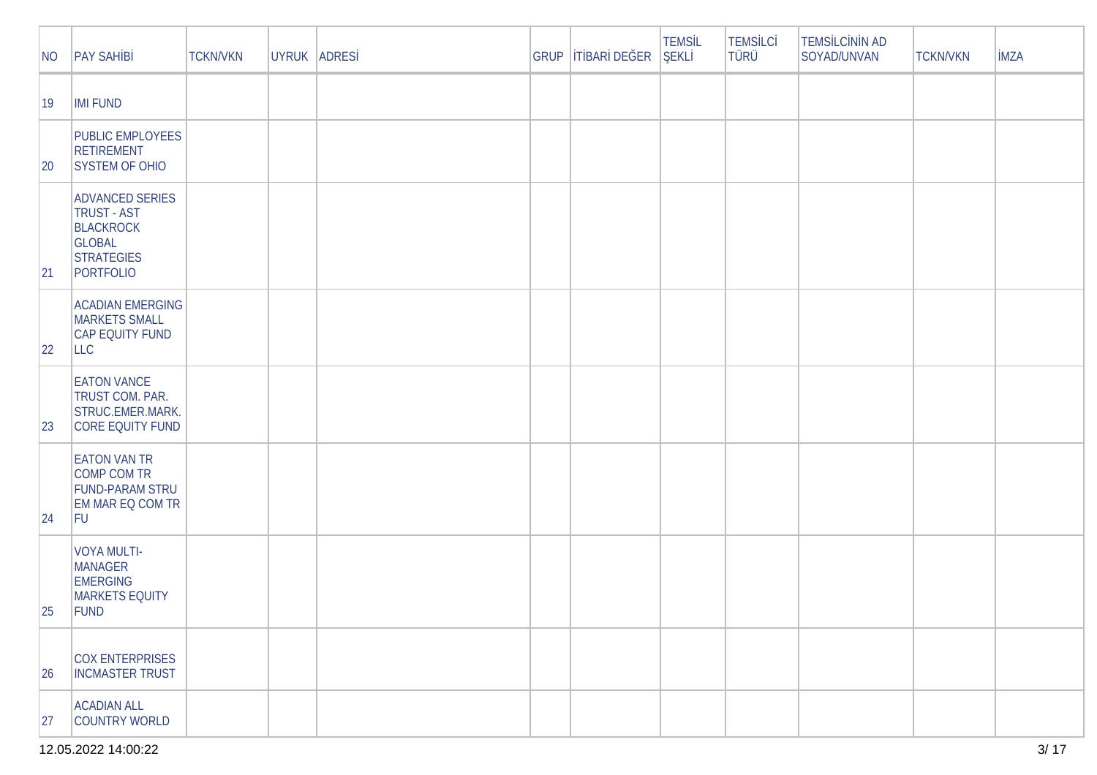| NO           | <b>PAY SAH B</b>                                                                                                    | <b>TCKN/VKN</b> | UYRUK ADRES | GRUP | T BAR DE ER | <b>TEMSL</b><br><b>EKL</b> | <b>TEMSLC</b><br>TÜRÜ | <b>TEMS LC N N AD</b><br>SOYAD/UNVAN | <b>TCKN/VKN</b> | <b>MZA</b> |
|--------------|---------------------------------------------------------------------------------------------------------------------|-----------------|-------------|------|-------------|----------------------------|-----------------------|--------------------------------------|-----------------|------------|
| $ 19\rangle$ | <b>IMI FUND</b>                                                                                                     |                 |             |      |             |                            |                       |                                      |                 |            |
| 20           | <b>PUBLIC EMPLOYEES</b><br><b>RETIREMENT</b><br><b>SYSTEM OF OHIO</b>                                               |                 |             |      |             |                            |                       |                                      |                 |            |
| 21           | <b>ADVANCED SERIES</b><br><b>TRUST - AST</b><br><b>BLACKROCK</b><br><b>GLOBAL</b><br><b>STRATEGIES</b><br>PORTFOLIO |                 |             |      |             |                            |                       |                                      |                 |            |
| 22           | <b>ACADIAN EMERGING</b><br><b>MARKETS SMALL</b><br>CAP EQUITY FUND<br><b>LLC</b>                                    |                 |             |      |             |                            |                       |                                      |                 |            |
| 23           | <b>EATON VANCE</b><br>TRUST COM. PAR.<br>STRUC.EMER.MARK.<br><b>CORE EQUITY FUND</b>                                |                 |             |      |             |                            |                       |                                      |                 |            |
| 24           | <b>EATON VAN TR</b><br>COMP COM TR<br><b>FUND-PARAM STRU</b><br>EM MAR EQ COM TR<br>FU                              |                 |             |      |             |                            |                       |                                      |                 |            |
| 25           | VOYA MULTI-<br><b>MANAGER</b><br><b>EMERGING</b><br><b>MARKETS EQUITY</b><br>FUND                                   |                 |             |      |             |                            |                       |                                      |                 |            |
| 26           | COX ENTERPRISES<br><b>INCMASTER TRUST</b>                                                                           |                 |             |      |             |                            |                       |                                      |                 |            |
| 27           | <b>ACADIAN ALL</b><br>COUNTRY WORLD                                                                                 |                 |             |      |             |                            |                       |                                      |                 |            |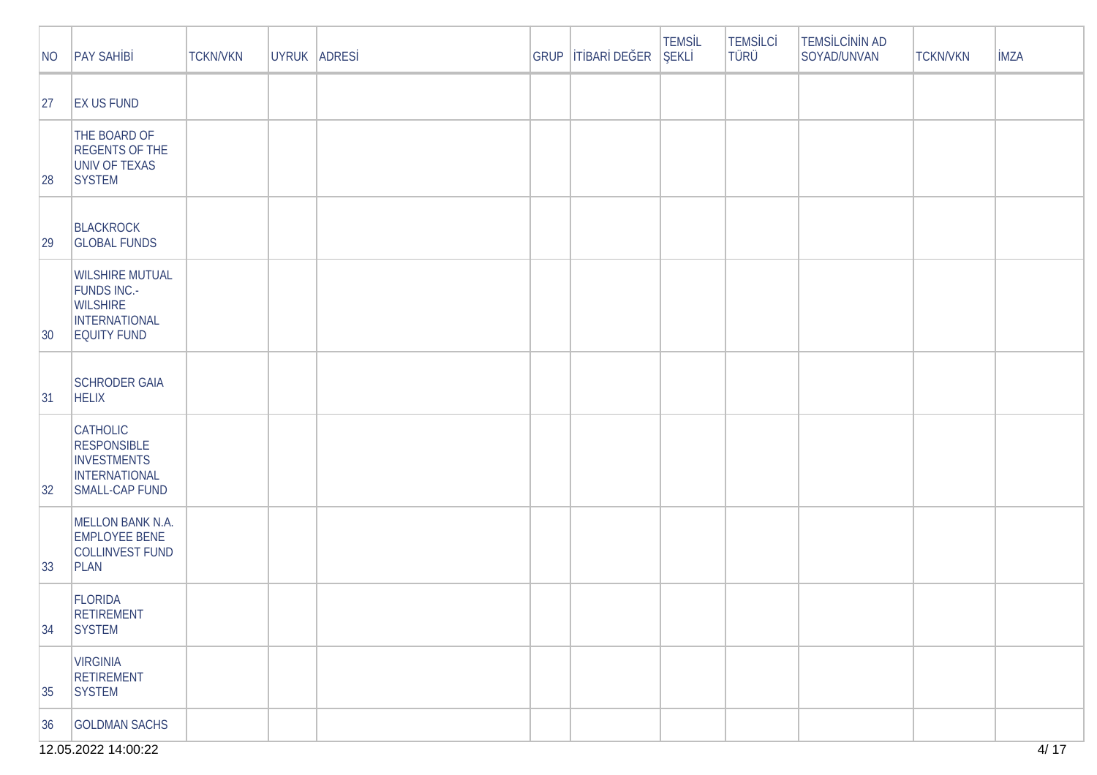| NO           | <b>PAY SAH B</b>                                                                                       | <b>TCKN/VKN</b> | UYRUK ADRES | GRUP | TBAR DE ER | <b>TEMSL</b><br><b>EKL</b> | <b>TEMSLC</b><br><b>TÜRÜ</b> | TEMS LC N N AD<br>SOYAD/UNVAN | <b>TCKN/VKN</b> | <b>MZA</b> |
|--------------|--------------------------------------------------------------------------------------------------------|-----------------|-------------|------|------------|----------------------------|------------------------------|-------------------------------|-----------------|------------|
| 27           | <b>EX US FUND</b>                                                                                      |                 |             |      |            |                            |                              |                               |                 |            |
| 28           | THE BOARD OF<br><b>REGENTS OF THE</b><br>UNIV OF TEXAS<br><b>SYSTEM</b>                                |                 |             |      |            |                            |                              |                               |                 |            |
| 29           | BLACKROCK<br><b>GLOBAL FUNDS</b>                                                                       |                 |             |      |            |                            |                              |                               |                 |            |
| $ 30\rangle$ | <b>WILSHIRE MUTUAL</b><br><b>FUNDS INC.-</b><br><b>WILSHIRE</b><br>INTERNATIONAL<br><b>EQUITY FUND</b> |                 |             |      |            |                            |                              |                               |                 |            |
| 31           | <b>SCHRODER GAIA</b><br><b>HELIX</b>                                                                   |                 |             |      |            |                            |                              |                               |                 |            |
| 32           | <b>CATHOLIC</b><br><b>RESPONSIBLE</b><br><b>INVESTMENTS</b><br>INTERNATIONAL<br><b>SMALL-CAP FUND</b>  |                 |             |      |            |                            |                              |                               |                 |            |
| $ 33\rangle$ | <b>MELLON BANK N.A.</b><br><b>EMPLOYEE BENE</b><br>COLLINVEST FUND<br>PLAN                             |                 |             |      |            |                            |                              |                               |                 |            |
| 34           | <b>FLORIDA</b><br><b>RETIREMENT</b><br><b>SYSTEM</b>                                                   |                 |             |      |            |                            |                              |                               |                 |            |
| 35           | <b>VIRGINIA</b><br><b>RETIREMENT</b><br><b>SYSTEM</b>                                                  |                 |             |      |            |                            |                              |                               |                 |            |
| 36           | <b>GOLDMAN SACHS</b>                                                                                   |                 |             |      |            |                            |                              |                               |                 |            |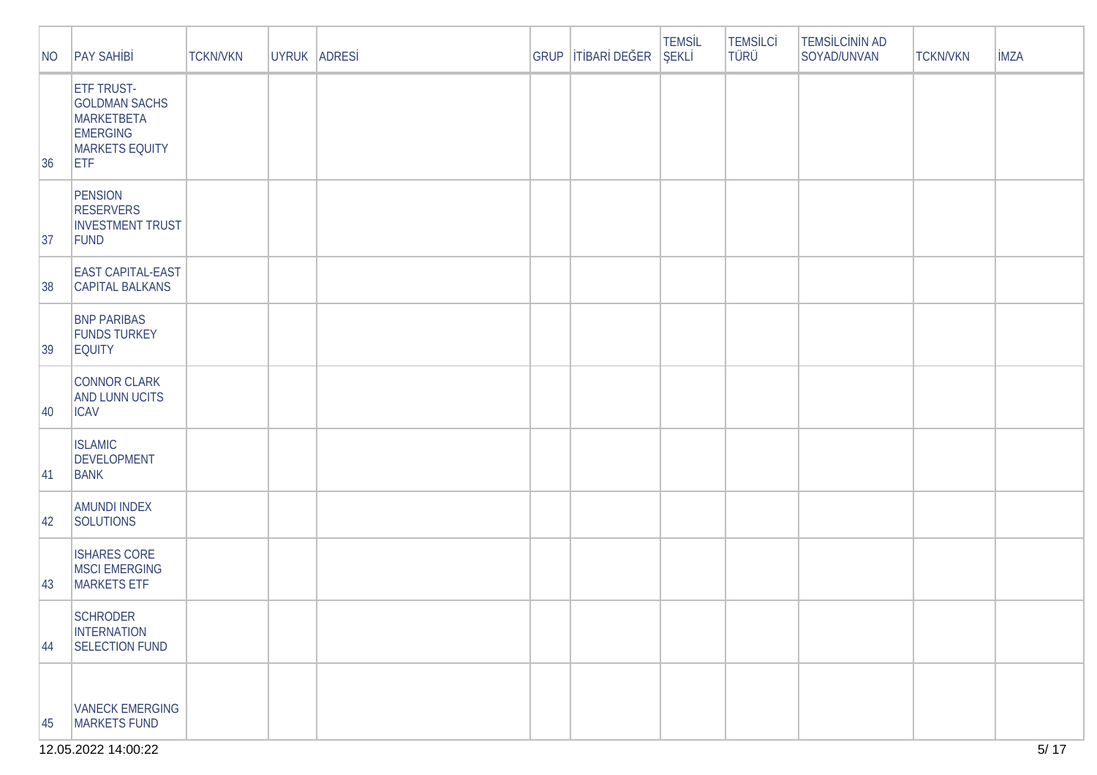| NO           | <b>PAY SAH B</b>                                                                                                  | <b>TCKN/VKN</b> | UYRUK ADRES |  | GRUP   T BAR DE ER | <b>TEMSL</b><br>EKL | <b>TEMSLC</b><br><b>TÜRÜ</b> | TEMS LC N N AD<br>SOYAD/UNVAN | <b>TCKN/VKN</b> | <b>MZA</b> |
|--------------|-------------------------------------------------------------------------------------------------------------------|-----------------|-------------|--|--------------------|---------------------|------------------------------|-------------------------------|-----------------|------------|
| 36           | <b>ETF TRUST-</b><br><b>GOLDMAN SACHS</b><br><b>MARKETBETA</b><br><b>EMERGING</b><br>MARKETS EQUITY<br><b>ETF</b> |                 |             |  |                    |                     |                              |                               |                 |            |
| 37           | <b>PENSION</b><br><b>RESERVERS</b><br><b>INVESTMENT TRUST</b><br>FUND                                             |                 |             |  |                    |                     |                              |                               |                 |            |
| 38           | <b>EAST CAPITAL-EAST</b><br><b>CAPITAL BALKANS</b>                                                                |                 |             |  |                    |                     |                              |                               |                 |            |
| 39           | <b>BNP PARIBAS</b><br><b>FUNDS TURKEY</b><br><b>EQUITY</b>                                                        |                 |             |  |                    |                     |                              |                               |                 |            |
| $ 40\rangle$ | CONNOR CLARK<br><b>AND LUNN UCITS</b><br><b>ICAV</b>                                                              |                 |             |  |                    |                     |                              |                               |                 |            |
| 41           | <b>ISLAMIC</b><br><b>DEVELOPMENT</b><br><b>BANK</b>                                                               |                 |             |  |                    |                     |                              |                               |                 |            |
| 42           | <b>AMUNDI INDEX</b><br>SOLUTIONS                                                                                  |                 |             |  |                    |                     |                              |                               |                 |            |
| 43           | <b>ISHARES CORE</b><br>MSCI EMERGING<br><b>MARKETS ETF</b>                                                        |                 |             |  |                    |                     |                              |                               |                 |            |
| 44           | SCHRODER<br><b>INTERNATION</b><br>SELECTION FUND                                                                  |                 |             |  |                    |                     |                              |                               |                 |            |
| 45           | <b>VANECK EMERGING</b><br>MARKETS FUND                                                                            |                 |             |  |                    |                     |                              |                               |                 |            |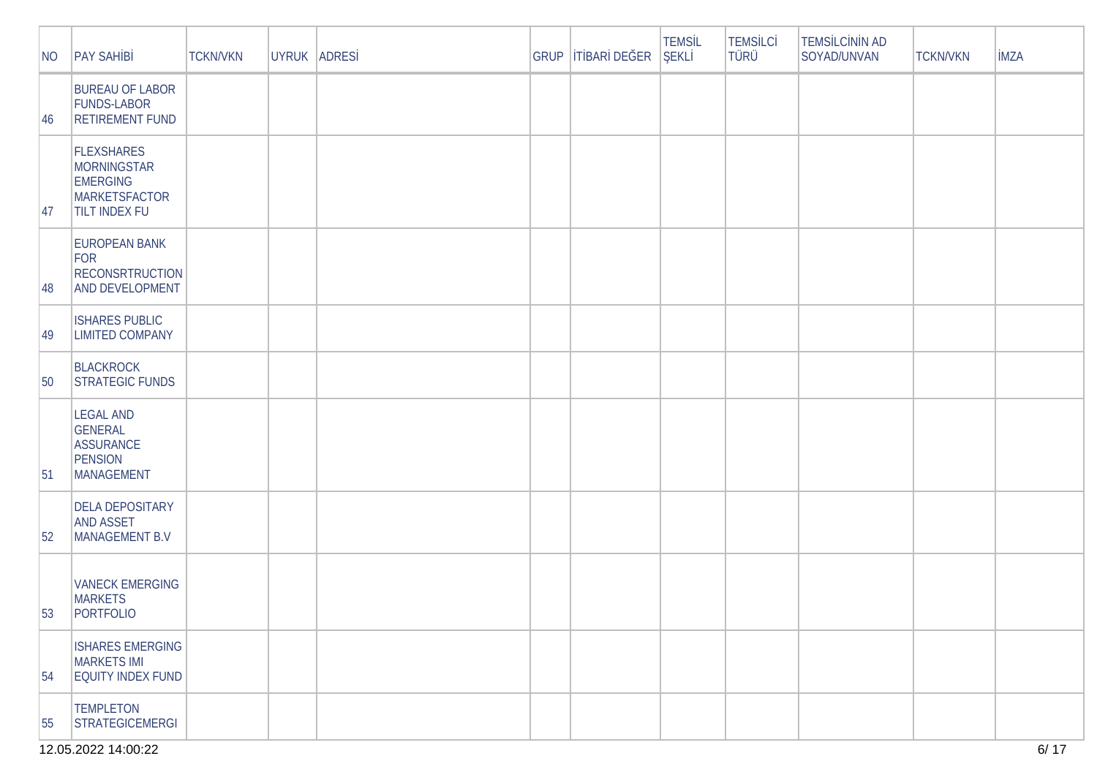12.05.2022 14:00:22

| NO               | <b>PAY SAH B</b>                                                                             | <b>TCKN/VKN</b> | UYRUK ADRES |  | GRUP   T BAR DE ER | <b>TEMSL</b><br>EKL | <b>TEMSLC</b><br><b>TÜRÜ</b> | <b>TEMS LC N N AD</b><br>SOYAD/UNVAN | <b>TCKN/VKN</b> | <b>MZA</b> |
|------------------|----------------------------------------------------------------------------------------------|-----------------|-------------|--|--------------------|---------------------|------------------------------|--------------------------------------|-----------------|------------|
| 46               | <b>BUREAU OF LABOR</b><br><b>FUNDS-LABOR</b><br><b>RETIREMENT FUND</b>                       |                 |             |  |                    |                     |                              |                                      |                 |            |
| 47               | <b>FLEXSHARES</b><br>MORNINGSTAR<br><b>EMERGING</b><br>MARKETSFACTOR<br><b>TILT INDEX FU</b> |                 |             |  |                    |                     |                              |                                      |                 |            |
| 48               | <b>EUROPEAN BANK</b><br>FOR<br><b>RECONSRTRUCTION</b><br>AND DEVELOPMENT                     |                 |             |  |                    |                     |                              |                                      |                 |            |
| 49               | <b>ISHARES PUBLIC</b><br><b>LIMITED COMPANY</b>                                              |                 |             |  |                    |                     |                              |                                      |                 |            |
| 50               | <b>BLACKROCK</b><br><b>STRATEGIC FUNDS</b>                                                   |                 |             |  |                    |                     |                              |                                      |                 |            |
| 51               | <b>LEGAL AND</b><br><b>GENERAL</b><br><b>ASSURANCE</b><br><b>PENSION</b><br>MANAGEMENT       |                 |             |  |                    |                     |                              |                                      |                 |            |
| 52               | <b>DELA DEPOSITARY</b><br><b>AND ASSET</b><br>MANAGEMENT B.V                                 |                 |             |  |                    |                     |                              |                                      |                 |            |
| 53               | <b>VANECK EMERGING</b><br><b>MARKETS</b><br>PORTFOLIO                                        |                 |             |  |                    |                     |                              |                                      |                 |            |
| $\vert 54 \vert$ | <b>ISHARES EMERGING</b><br><b>MARKETS IMI</b><br><b>EQUITY INDEX FUND</b>                    |                 |             |  |                    |                     |                              |                                      |                 |            |
| 55               | <b>TEMPLETON</b><br>STRATEGICEMERGI                                                          |                 |             |  |                    |                     |                              |                                      |                 |            |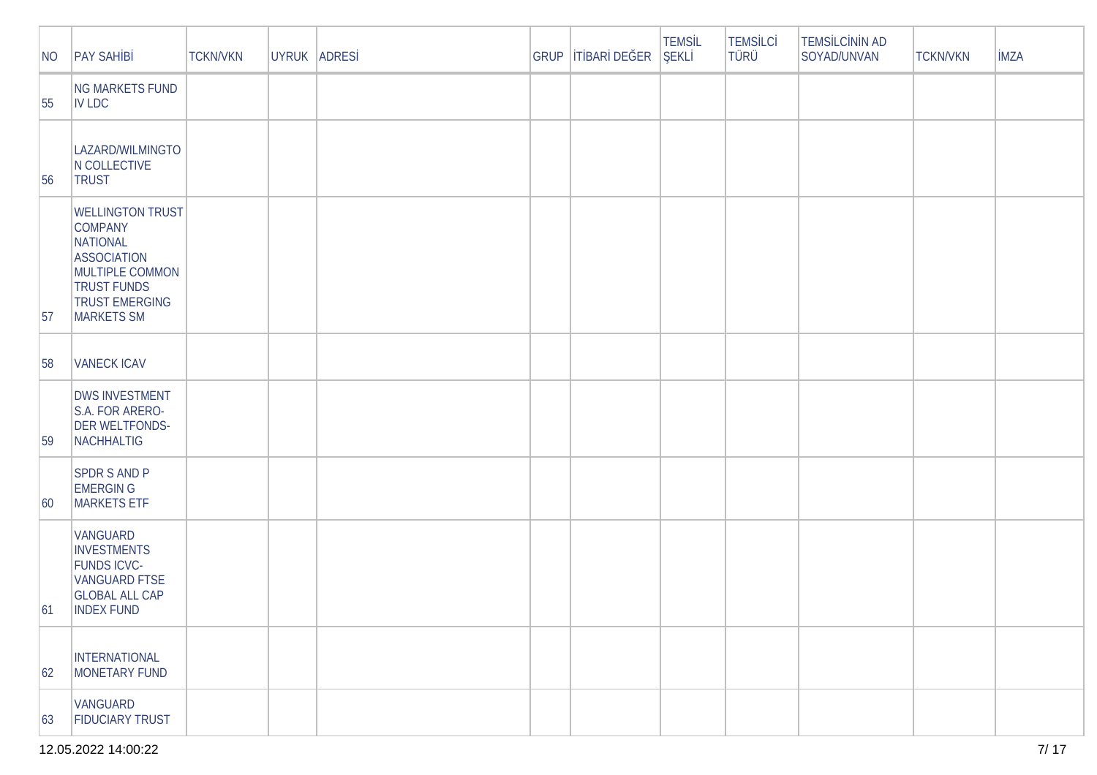| NO           | <b>PAY SAH B</b>                                                                                                                                                          | <b>TCKN/VKN</b> | UYRUK ADRES | GRUP | TBAR DE ER | <b>TEMSL</b><br>EKL | <b>TEMS LC</b><br>TÜRÜ | <b>TEMS LC N N AD</b><br>SOYAD/UNVAN | <b>TCKN/VKN</b> | <b>MZA</b> |
|--------------|---------------------------------------------------------------------------------------------------------------------------------------------------------------------------|-----------------|-------------|------|------------|---------------------|------------------------|--------------------------------------|-----------------|------------|
| 55           | NG MARKETS FUND<br><b>IV LDC</b>                                                                                                                                          |                 |             |      |            |                     |                        |                                      |                 |            |
| 56           | LAZARD/WILMINGTO<br>N COLLECTIVE<br><b>TRUST</b>                                                                                                                          |                 |             |      |            |                     |                        |                                      |                 |            |
| 57           | <b>WELLINGTON TRUST</b><br><b>COMPANY</b><br><b>NATIONAL</b><br><b>ASSOCIATION</b><br>MULTIPLE COMMON<br><b>TRUST FUNDS</b><br><b>TRUST EMERGING</b><br><b>MARKETS SM</b> |                 |             |      |            |                     |                        |                                      |                 |            |
| 58           | <b>VANECK ICAV</b>                                                                                                                                                        |                 |             |      |            |                     |                        |                                      |                 |            |
| 59           | <b>DWS INVESTMENT</b><br>S.A. FOR ARERO-<br><b>DER WELTFONDS-</b><br>NACHHALTIG                                                                                           |                 |             |      |            |                     |                        |                                      |                 |            |
| $ 60\rangle$ | <b>SPDR S AND P</b><br><b>EMERGIN G</b><br><b>MARKETS ETF</b>                                                                                                             |                 |             |      |            |                     |                        |                                      |                 |            |
| 61           | VANGUARD<br><b>INVESTMENTS</b><br><b>FUNDS ICVC-</b><br><b>VANGUARD FTSE</b><br><b>GLOBAL ALL CAP</b><br><b>INDEX FUND</b>                                                |                 |             |      |            |                     |                        |                                      |                 |            |
| 62           | INTERNATIONAL<br>MONETARY FUND                                                                                                                                            |                 |             |      |            |                     |                        |                                      |                 |            |
| 63           | VANGUARD<br>FIDUCIARY TRUST                                                                                                                                               |                 |             |      |            |                     |                        |                                      |                 |            |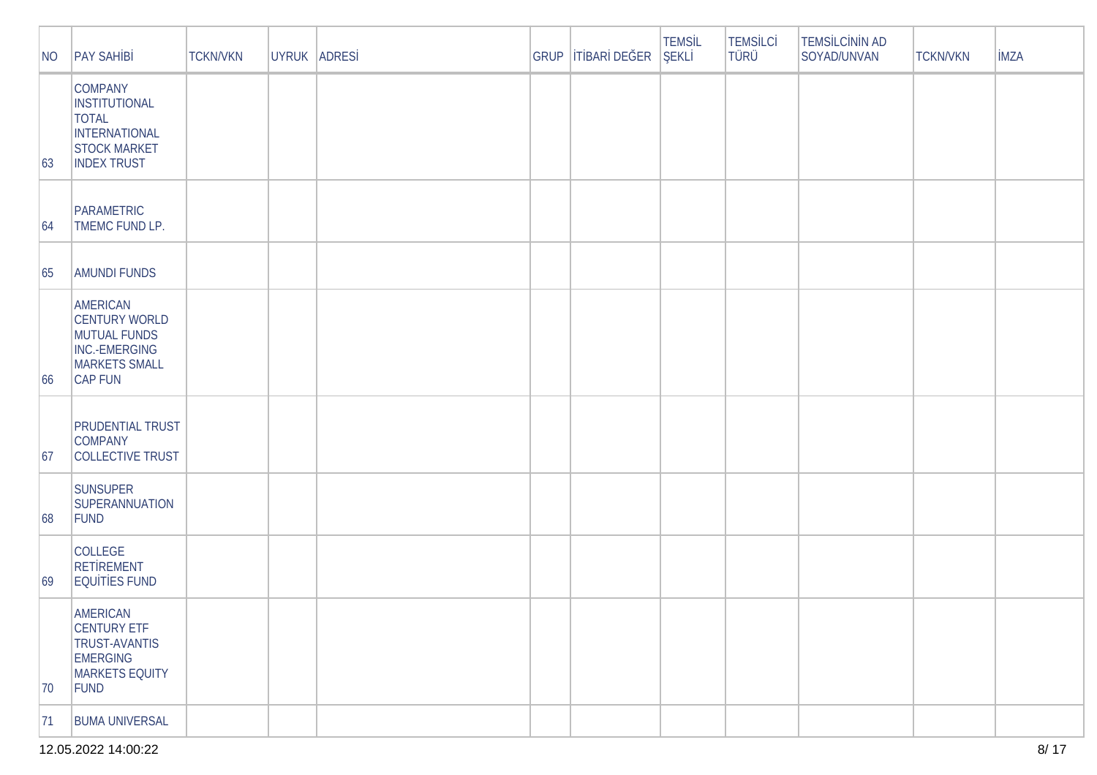| NO | <b>PAY SAH B</b>                                                                                                     | <b>TCKN/VKN</b> | UYRUK ADRES | GRUP | T BAR DE ER | <b>TEMSL</b><br>EKL | <b>TEMS LC</b><br><b>TÜRÜ</b> | <b>TEMS LC N N AD</b><br>SOYAD/UNVAN | <b>TCKN/VKN</b> | <b>MZA</b> |
|----|----------------------------------------------------------------------------------------------------------------------|-----------------|-------------|------|-------------|---------------------|-------------------------------|--------------------------------------|-----------------|------------|
| 63 | <b>COMPANY</b><br><b>INSTITUTIONAL</b><br><b>TOTAL</b><br>INTERNATIONAL<br><b>STOCK MARKET</b><br><b>INDEX TRUST</b> |                 |             |      |             |                     |                               |                                      |                 |            |
| 64 | PARAMETRIC<br>TMEMC FUND LP.                                                                                         |                 |             |      |             |                     |                               |                                      |                 |            |
| 65 | <b>AMUNDI FUNDS</b>                                                                                                  |                 |             |      |             |                     |                               |                                      |                 |            |
| 66 | AMERICAN<br><b>CENTURY WORLD</b><br>MUTUAL FUNDS<br>INC.-EMERGING<br><b>MARKETS SMALL</b><br>CAP FUN                 |                 |             |      |             |                     |                               |                                      |                 |            |
| 67 | <b>PRUDENTIAL TRUST</b><br><b>COMPANY</b><br>COLLECTIVE TRUST                                                        |                 |             |      |             |                     |                               |                                      |                 |            |
| 68 | <b>SUNSUPER</b><br>SUPERANNUATION<br>FUND                                                                            |                 |             |      |             |                     |                               |                                      |                 |            |
| 69 | <b>COLLEGE</b><br><b>RET REMENT</b><br>EQU T ES FUND                                                                 |                 |             |      |             |                     |                               |                                      |                 |            |
| 70 | AMERICAN<br><b>CENTURY ETF</b><br><b>TRUST-AVANTIS</b><br><b>EMERGING</b><br>MARKETS EQUITY<br>FUND                  |                 |             |      |             |                     |                               |                                      |                 |            |
| 71 | <b>BUMA UNIVERSAL</b>                                                                                                |                 |             |      |             |                     |                               |                                      |                 |            |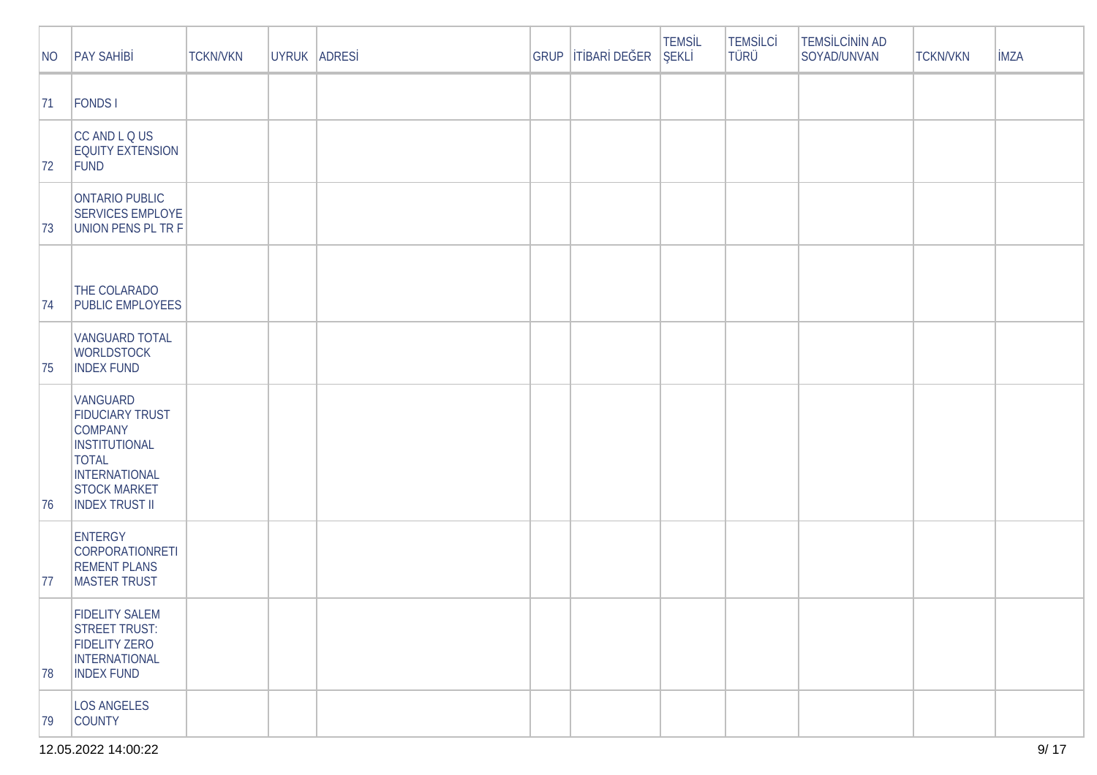| NO | <b>PAY SAH B</b>                                                                                                                                                            | <b>TCKN/VKN</b> | UYRUK ADRES | GRUP | T BAR DE ER | <b>TEMSL</b><br>EKL | <b>TEMSLC</b><br><b>TÜRÜ</b> | <b>TEMS LC N N AD</b><br>SOYAD/UNVAN | <b>TCKN/VKN</b> | <b>MZA</b> |
|----|-----------------------------------------------------------------------------------------------------------------------------------------------------------------------------|-----------------|-------------|------|-------------|---------------------|------------------------------|--------------------------------------|-----------------|------------|
| 71 | <b>FONDS1</b>                                                                                                                                                               |                 |             |      |             |                     |                              |                                      |                 |            |
| 72 | CC AND L Q US<br><b>EQUITY EXTENSION</b><br>FUND                                                                                                                            |                 |             |      |             |                     |                              |                                      |                 |            |
| 73 | ONTARIO PUBLIC<br><b>SERVICES EMPLOYE</b><br><b>UNION PENS PL TR F</b>                                                                                                      |                 |             |      |             |                     |                              |                                      |                 |            |
| 74 | THE COLARADO<br><b>PUBLIC EMPLOYEES</b>                                                                                                                                     |                 |             |      |             |                     |                              |                                      |                 |            |
| 75 | <b>VANGUARD TOTAL</b><br><b>WORLDSTOCK</b><br><b>INDEX FUND</b>                                                                                                             |                 |             |      |             |                     |                              |                                      |                 |            |
| 76 | <b>VANGUARD</b><br><b>FIDUCIARY TRUST</b><br><b>COMPANY</b><br><b>INSTITUTIONAL</b><br><b>TOTAL</b><br><b>INTERNATIONAL</b><br><b>STOCK MARKET</b><br><b>INDEX TRUST II</b> |                 |             |      |             |                     |                              |                                      |                 |            |
| 77 | <b>ENTERGY</b><br><b>CORPORATIONRETI</b><br><b>REMENT PLANS</b><br><b>MASTER TRUST</b>                                                                                      |                 |             |      |             |                     |                              |                                      |                 |            |
| 78 | <b>FIDELITY SALEM</b><br>STREET TRUST:<br><b>FIDELITY ZERO</b><br>INTERNATIONAL<br><b>INDEX FUND</b>                                                                        |                 |             |      |             |                     |                              |                                      |                 |            |
| 79 | <b>LOS ANGELES</b><br><b>COUNTY</b>                                                                                                                                         |                 |             |      |             |                     |                              |                                      |                 |            |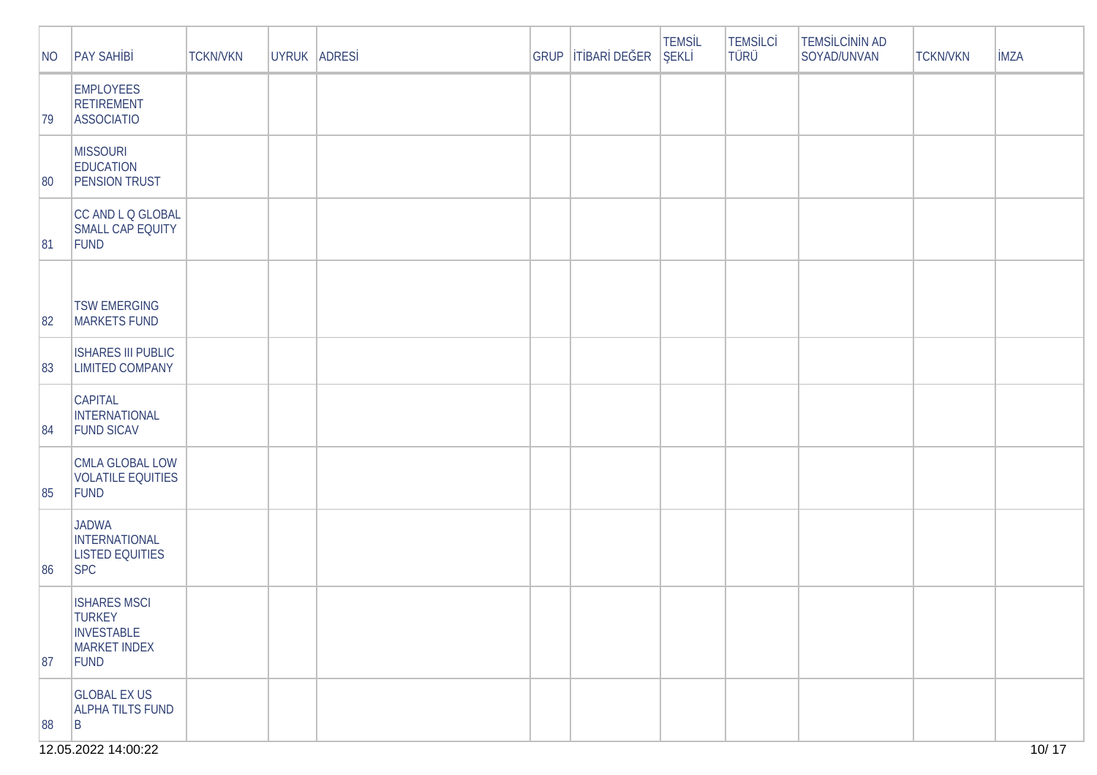| NO | <b>PAY SAH B</b>                                                                  | <b>TCKN/VKN</b> | UYRUK ADRES | GRUP | T BAR DE ER | <b>TEMSL</b><br><b>EKL</b> | <b>TEMSLC</b><br><b>TÜRÜ</b> | <b>TEMS LC N N AD</b><br>SOYAD/UNVAN | <b>TCKN/VKN</b> | <b>MZA</b> |
|----|-----------------------------------------------------------------------------------|-----------------|-------------|------|-------------|----------------------------|------------------------------|--------------------------------------|-----------------|------------|
| 79 | <b>EMPLOYEES</b><br><b>RETIREMENT</b><br><b>ASSOCIATIO</b>                        |                 |             |      |             |                            |                              |                                      |                 |            |
| 80 | <b>MISSOURI</b><br><b>EDUCATION</b><br><b>PENSION TRUST</b>                       |                 |             |      |             |                            |                              |                                      |                 |            |
| 81 | CC AND L Q GLOBAL<br>SMALL CAP EQUITY<br>FUND                                     |                 |             |      |             |                            |                              |                                      |                 |            |
| 82 | <b>TSW EMERGING</b><br>MARKETS FUND                                               |                 |             |      |             |                            |                              |                                      |                 |            |
| 83 | <b>ISHARES III PUBLIC</b><br><b>LIMITED COMPANY</b>                               |                 |             |      |             |                            |                              |                                      |                 |            |
| 84 | <b>CAPITAL</b><br>INTERNATIONAL<br><b>FUND SICAV</b>                              |                 |             |      |             |                            |                              |                                      |                 |            |
| 85 | CMLA GLOBAL LOW<br><b>VOLATILE EQUITIES</b><br>FUND                               |                 |             |      |             |                            |                              |                                      |                 |            |
| 86 | <b>JADWA</b><br>INTERNATIONAL<br><b>LISTED EQUITIES</b><br><b>SPC</b>             |                 |             |      |             |                            |                              |                                      |                 |            |
| 87 | <b>ISHARES MSCI</b><br><b>TURKEY</b><br><b>INVESTABLE</b><br>MARKET INDEX<br>FUND |                 |             |      |             |                            |                              |                                      |                 |            |
| 88 | <b>GLOBAL EX US</b><br><b>ALPHA TILTS FUND</b><br> B                              |                 |             |      |             |                            |                              |                                      |                 |            |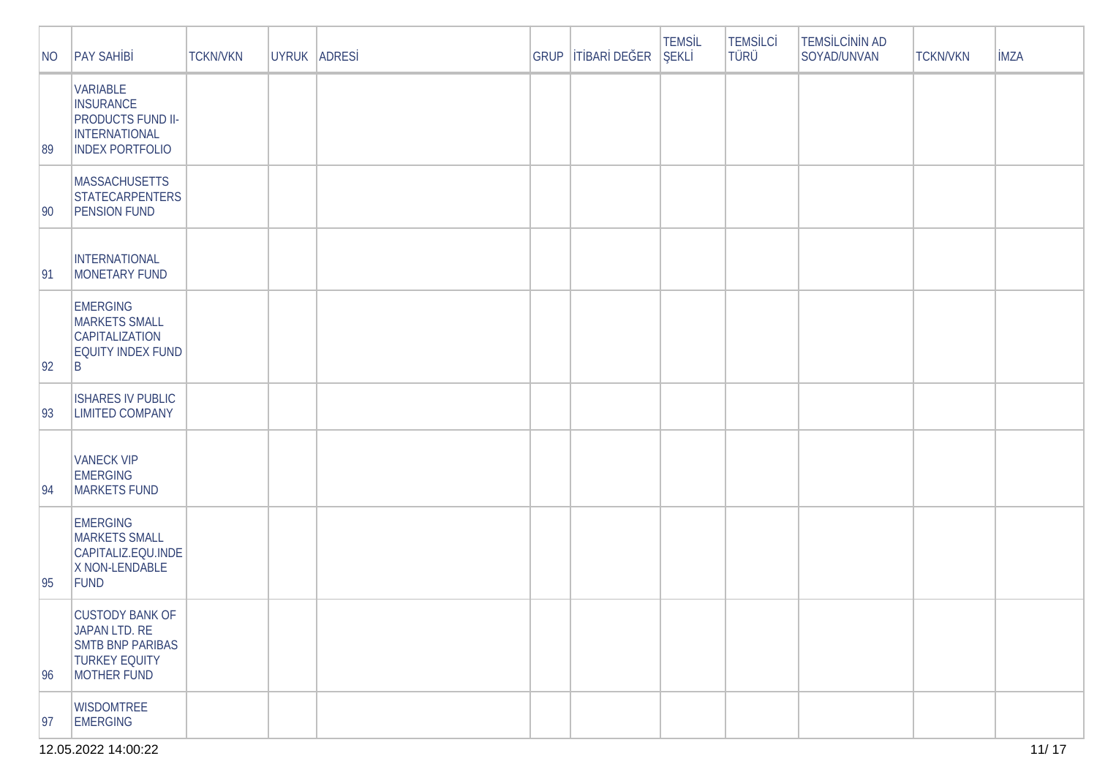| NO           | <b>PAY SAH B</b>                                                                                                  | <b>TCKN/VKN</b> | UYRUK ADRES | <b>GRUP</b> | T BAR DE ER | <b>TEMSL</b><br>EKL | <b>TEMSLC</b><br>TÜRÜ | TEMS LC N N AD<br>SOYAD/UNVAN | <b>TCKN/VKN</b> | <b>MZA</b> |
|--------------|-------------------------------------------------------------------------------------------------------------------|-----------------|-------------|-------------|-------------|---------------------|-----------------------|-------------------------------|-----------------|------------|
| 89           | <b>VARIABLE</b><br><b>INSURANCE</b><br><b>PRODUCTS FUND II-</b><br><b>INTERNATIONAL</b><br><b>INDEX PORTFOLIO</b> |                 |             |             |             |                     |                       |                               |                 |            |
| $ 90\rangle$ | <b>MASSACHUSETTS</b><br><b>STATECARPENTERS</b><br><b>PENSION FUND</b>                                             |                 |             |             |             |                     |                       |                               |                 |            |
| 91           | <b>INTERNATIONAL</b><br>MONETARY FUND                                                                             |                 |             |             |             |                     |                       |                               |                 |            |
| 92           | <b>EMERGING</b><br><b>MARKETS SMALL</b><br><b>CAPITALIZATION</b><br>EQUITY INDEX FUND<br>B                        |                 |             |             |             |                     |                       |                               |                 |            |
| 93           | <b>ISHARES IV PUBLIC</b><br><b>LIMITED COMPANY</b>                                                                |                 |             |             |             |                     |                       |                               |                 |            |
| 94           | <b>VANECK VIP</b><br><b>EMERGING</b><br><b>MARKETS FUND</b>                                                       |                 |             |             |             |                     |                       |                               |                 |            |
| 95           | <b>EMERGING</b><br><b>MARKETS SMALL</b><br>CAPITALIZ.EQU.INDE<br>X NON-LENDABLE<br>FUND                           |                 |             |             |             |                     |                       |                               |                 |            |
| 96           | <b>CUSTODY BANK OF</b><br>JAPAN LTD. RE<br><b>SMTB BNP PARIBAS</b><br><b>TURKEY EQUITY</b><br>MOTHER FUND         |                 |             |             |             |                     |                       |                               |                 |            |
| 97           | <b>WISDOMTREE</b><br>EMERGING                                                                                     |                 |             |             |             |                     |                       |                               |                 |            |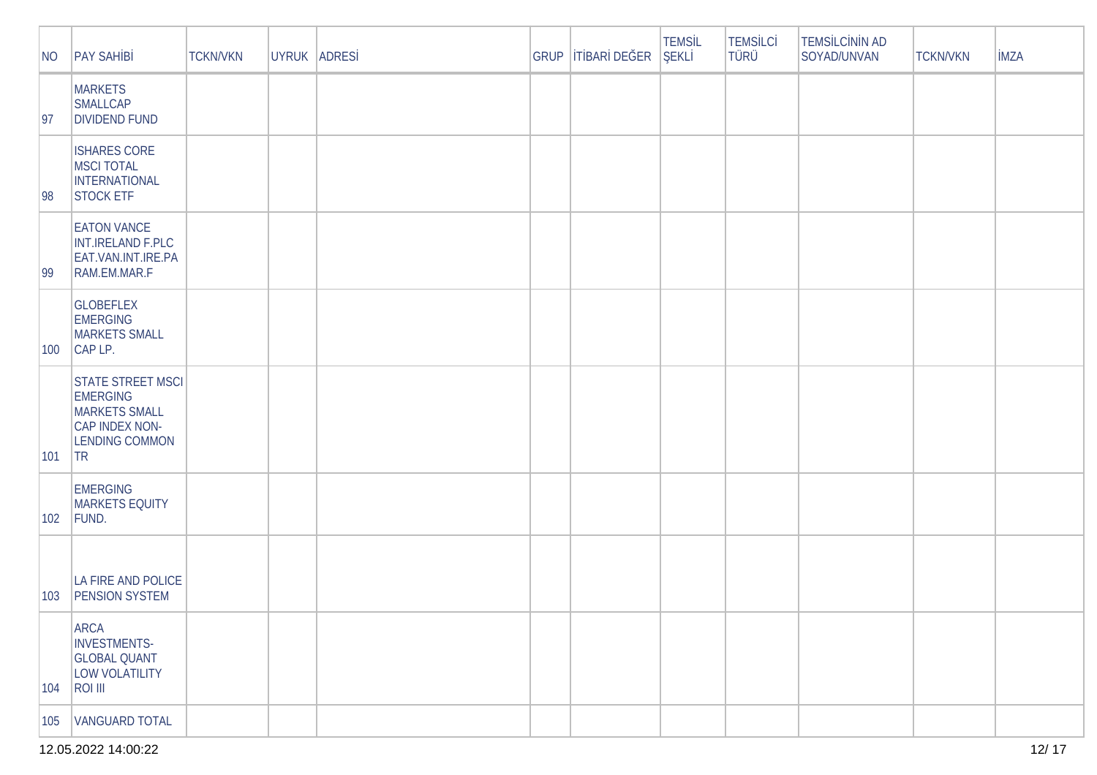| NO  | <b>PAY SAH B</b>                                                                                                      | <b>TCKN/VKN</b> | UYRUK ADRES | GRUP | TBAR DE ER | <b>TEMSL</b><br>EKL | <b>TEMS LC</b><br>TÜRÜ | <b>TEMS LC N N AD</b><br>SOYAD/UNVAN | <b>TCKN/VKN</b> | <b>MZA</b> |
|-----|-----------------------------------------------------------------------------------------------------------------------|-----------------|-------------|------|------------|---------------------|------------------------|--------------------------------------|-----------------|------------|
| 97  | <b>MARKETS</b><br><b>SMALLCAP</b><br><b>DIVIDEND FUND</b>                                                             |                 |             |      |            |                     |                        |                                      |                 |            |
| 98  | <b>ISHARES CORE</b><br><b>MSCI TOTAL</b><br>INTERNATIONAL<br><b>STOCK ETF</b>                                         |                 |             |      |            |                     |                        |                                      |                 |            |
| 99  | <b>EATON VANCE</b><br>INT.IRELAND F.PLC<br>EAT.VAN.INT.IRE.PA<br>RAM.EM.MAR.F                                         |                 |             |      |            |                     |                        |                                      |                 |            |
| 100 | <b>GLOBEFLEX</b><br><b>EMERGING</b><br><b>MARKETS SMALL</b><br>CAP LP.                                                |                 |             |      |            |                     |                        |                                      |                 |            |
| 101 | <b>STATE STREET MSCL</b><br><b>EMERGING</b><br><b>MARKETS SMALL</b><br>CAP INDEX NON-<br><b>LENDING COMMON</b><br> TR |                 |             |      |            |                     |                        |                                      |                 |            |
| 102 | <b>EMERGING</b><br><b>MARKETS EQUITY</b><br>FUND.                                                                     |                 |             |      |            |                     |                        |                                      |                 |            |
| 103 | LA FIRE AND POLICE<br><b>PENSION SYSTEM</b>                                                                           |                 |             |      |            |                     |                        |                                      |                 |            |
| 104 | ARCA<br>INVESTMENTS-<br><b>GLOBAL QUANT</b><br>LOW VOLATILITY<br><b>ROI III</b>                                       |                 |             |      |            |                     |                        |                                      |                 |            |
| 105 | <b>VANGUARD TOTAL</b>                                                                                                 |                 |             |      |            |                     |                        |                                      |                 |            |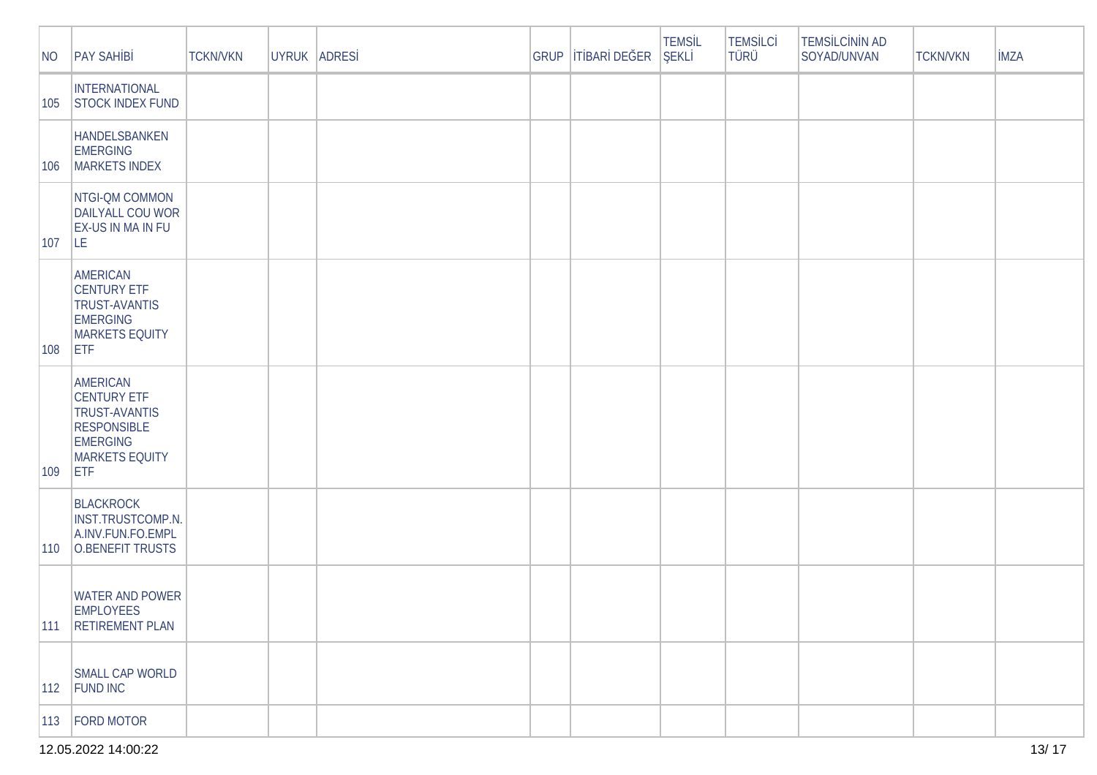| NO            | <b>PAY SAH B</b>                                                                                                                       | <b>TCKN/VKN</b> | UYRUK ADRES | <b>GRUP</b> | T BAR DE ER | <b>TEMSL</b><br>EKL | <b>TEMSLC</b><br>TÜRÜ | <b>TEMS LC N N AD</b><br>SOYAD/UNVAN | <b>TCKN/VKN</b> | <b>MZA</b> |
|---------------|----------------------------------------------------------------------------------------------------------------------------------------|-----------------|-------------|-------------|-------------|---------------------|-----------------------|--------------------------------------|-----------------|------------|
| 105           | INTERNATIONAL<br><b>STOCK INDEX FUND</b>                                                                                               |                 |             |             |             |                     |                       |                                      |                 |            |
| 106           | HANDELSBANKEN<br><b>EMERGING</b><br>MARKETS INDEX                                                                                      |                 |             |             |             |                     |                       |                                      |                 |            |
| $ 107\rangle$ | NTGI-QM COMMON<br>DAILYALL COU WOR<br><b>EX-US IN MA IN FU</b><br>LE.                                                                  |                 |             |             |             |                     |                       |                                      |                 |            |
| $ 108\rangle$ | <b>AMERICAN</b><br><b>CENTURY ETF</b><br><b>TRUST-AVANTIS</b><br><b>EMERGING</b><br><b>MARKETS EQUITY</b><br><b>ETF</b>                |                 |             |             |             |                     |                       |                                      |                 |            |
| $ 109\rangle$ | <b>AMERICAN</b><br><b>CENTURY ETF</b><br><b>TRUST-AVANTIS</b><br><b>RESPONSIBLE</b><br><b>EMERGING</b><br>MARKETS EQUITY<br><b>ETF</b> |                 |             |             |             |                     |                       |                                      |                 |            |
| $ 110\rangle$ | <b>BLACKROCK</b><br>INST.TRUSTCOMP.N.<br>A.INV.FUN.FO.EMPL<br>O.BENEFIT TRUSTS                                                         |                 |             |             |             |                     |                       |                                      |                 |            |
| 111           | <b>WATER AND POWER</b><br><b>EMPLOYEES</b><br><b>RETIREMENT PLAN</b>                                                                   |                 |             |             |             |                     |                       |                                      |                 |            |
|               | SMALL CAP WORLD<br>112 FUND INC                                                                                                        |                 |             |             |             |                     |                       |                                      |                 |            |
|               | 113   FORD MOTOR                                                                                                                       |                 |             |             |             |                     |                       |                                      |                 |            |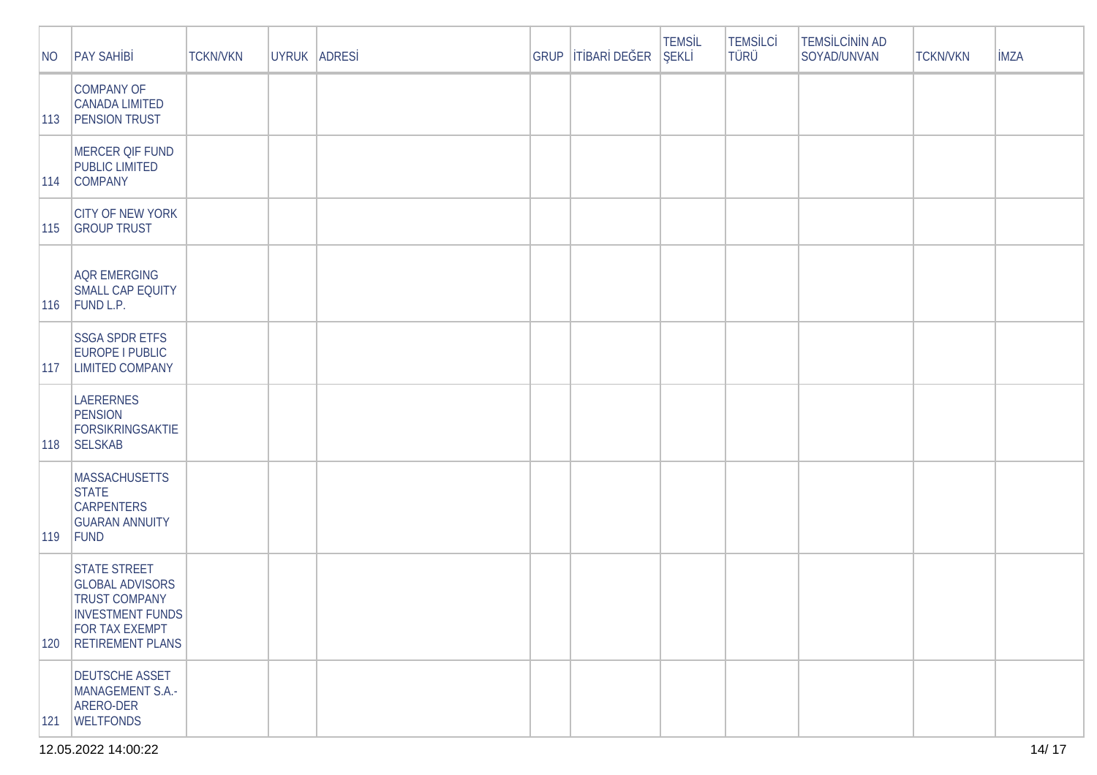| $\overline{\mathsf{NO}}$ | <b>PAY SAH B</b>                                                                                                                                     | <b>TCKN/VKN</b> | UYRUK ADRES | GRUP | T BAR DE ER | <b>TEMSL</b><br><b>EKL</b> | <b>TEMSLC</b><br><b>TÜRÜ</b> | <b>TEMS LC N N AD</b><br>SOYAD/UNVAN | <b>TCKN/VKN</b> | <b>MZA</b> |
|--------------------------|------------------------------------------------------------------------------------------------------------------------------------------------------|-----------------|-------------|------|-------------|----------------------------|------------------------------|--------------------------------------|-----------------|------------|
| $ 113\rangle$            | <b>COMPANY OF</b><br><b>CANADA LIMITED</b><br><b>PENSION TRUST</b>                                                                                   |                 |             |      |             |                            |                              |                                      |                 |            |
| $ 114\rangle$            | <b>MERCER QIF FUND</b><br><b>PUBLIC LIMITED</b><br><b>COMPANY</b>                                                                                    |                 |             |      |             |                            |                              |                                      |                 |            |
| $ 115\rangle$            | <b>CITY OF NEW YORK</b><br><b>GROUP TRUST</b>                                                                                                        |                 |             |      |             |                            |                              |                                      |                 |            |
| $ 116\rangle$            | <b>AQR EMERGING</b><br><b>SMALL CAP EQUITY</b><br>FUND L.P.                                                                                          |                 |             |      |             |                            |                              |                                      |                 |            |
| $ 117\rangle$            | <b>SSGA SPDR ETFS</b><br>EUROPE I PUBLIC<br><b>LIMITED COMPANY</b>                                                                                   |                 |             |      |             |                            |                              |                                      |                 |            |
| $ 118\rangle$            | LAERERNES<br>PENSION<br>FORSIKRINGSAKTIE<br><b>SELSKAB</b>                                                                                           |                 |             |      |             |                            |                              |                                      |                 |            |
| $ 119\rangle$            | <b>MASSACHUSETTS</b><br><b>STATE</b><br><b>CARPENTERS</b><br><b>GUARAN ANNUITY</b><br>FUND                                                           |                 |             |      |             |                            |                              |                                      |                 |            |
| 120                      | <b>STATE STREET</b><br><b>GLOBAL ADVISORS</b><br><b>TRUST COMPANY</b><br><b>INVESTMENT FUNDS</b><br><b>FOR TAX EXEMPT</b><br><b>RETIREMENT PLANS</b> |                 |             |      |             |                            |                              |                                      |                 |            |
| 121                      | <b>DEUTSCHE ASSET</b><br>MANAGEMENT S.A.-<br>ARERO-DER<br><b>WELTFONDS</b>                                                                           |                 |             |      |             |                            |                              |                                      |                 |            |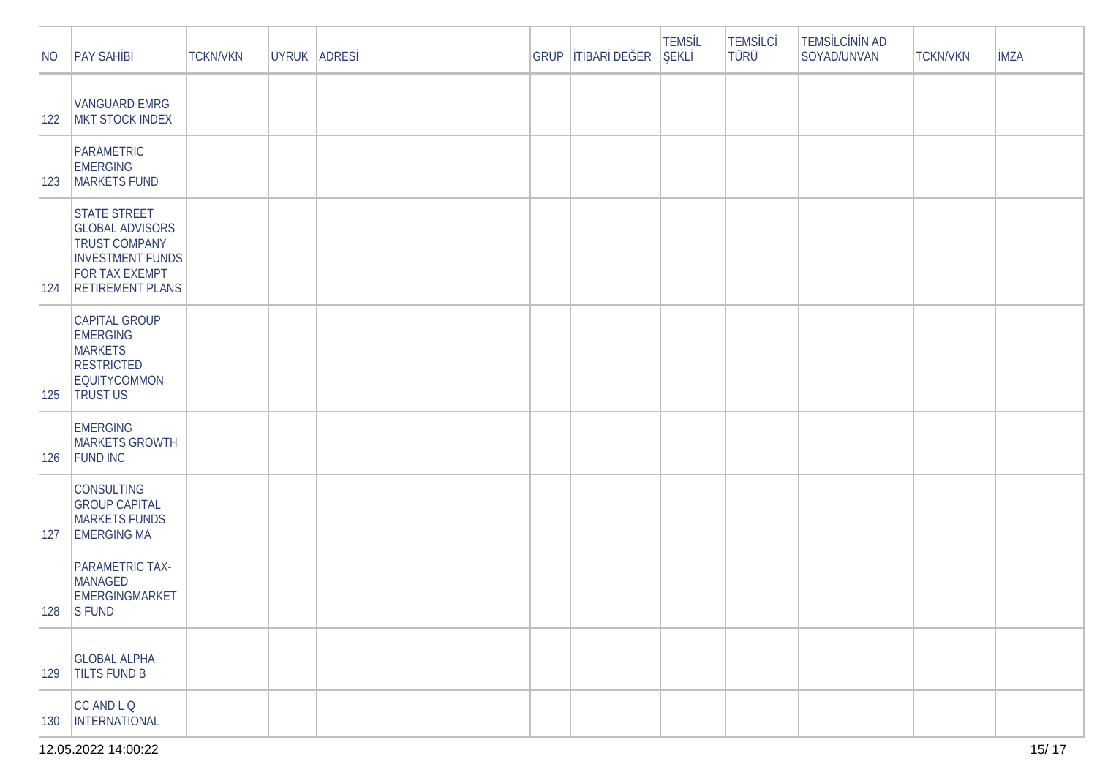| NO    | <b>PAY SAH B</b>                                                                                                                                     | <b>TCKN/VKN</b> | UYRUK ADRES | <b>GRUP</b> | TBAR DE ER | <b>TEMSL</b><br><b>EKL</b> | <b>TEMSLC</b><br>TÜRÜ | <b>TEMS LC N N AD</b><br>SOYAD/UNVAN | <b>TCKN/VKN</b> | <b>MZA</b> |
|-------|------------------------------------------------------------------------------------------------------------------------------------------------------|-----------------|-------------|-------------|------------|----------------------------|-----------------------|--------------------------------------|-----------------|------------|
| $122$ | <b>VANGUARD EMRG</b><br>MKT STOCK INDEX                                                                                                              |                 |             |             |            |                            |                       |                                      |                 |            |
| 123   | <b>PARAMETRIC</b><br><b>EMERGING</b><br>MARKETS FUND                                                                                                 |                 |             |             |            |                            |                       |                                      |                 |            |
| 124   | <b>STATE STREET</b><br><b>GLOBAL ADVISORS</b><br><b>TRUST COMPANY</b><br><b>INVESTMENT FUNDS</b><br><b>FOR TAX EXEMPT</b><br><b>RETIREMENT PLANS</b> |                 |             |             |            |                            |                       |                                      |                 |            |
| 125   | <b>CAPITAL GROUP</b><br><b>EMERGING</b><br><b>MARKETS</b><br><b>RESTRICTED</b><br>EQUITYCOMMON<br><b>TRUST US</b>                                    |                 |             |             |            |                            |                       |                                      |                 |            |
| 126   | <b>EMERGING</b><br><b>MARKETS GROWTH</b><br><b>FUND INC</b>                                                                                          |                 |             |             |            |                            |                       |                                      |                 |            |
| 127   | <b>CONSULTING</b><br><b>GROUP CAPITAL</b><br><b>MARKETS FUNDS</b><br><b>EMERGING MA</b>                                                              |                 |             |             |            |                            |                       |                                      |                 |            |
|       | PARAMETRIC TAX-<br><b>MANAGED</b><br>EMERGINGMARKET<br>$ 128 $ SFUND                                                                                 |                 |             |             |            |                            |                       |                                      |                 |            |
| 129   | <b>GLOBAL ALPHA</b><br><b>TILTS FUND B</b>                                                                                                           |                 |             |             |            |                            |                       |                                      |                 |            |
| 130   | CC AND L Q<br><b>INTERNATIONAL</b>                                                                                                                   |                 |             |             |            |                            |                       |                                      |                 |            |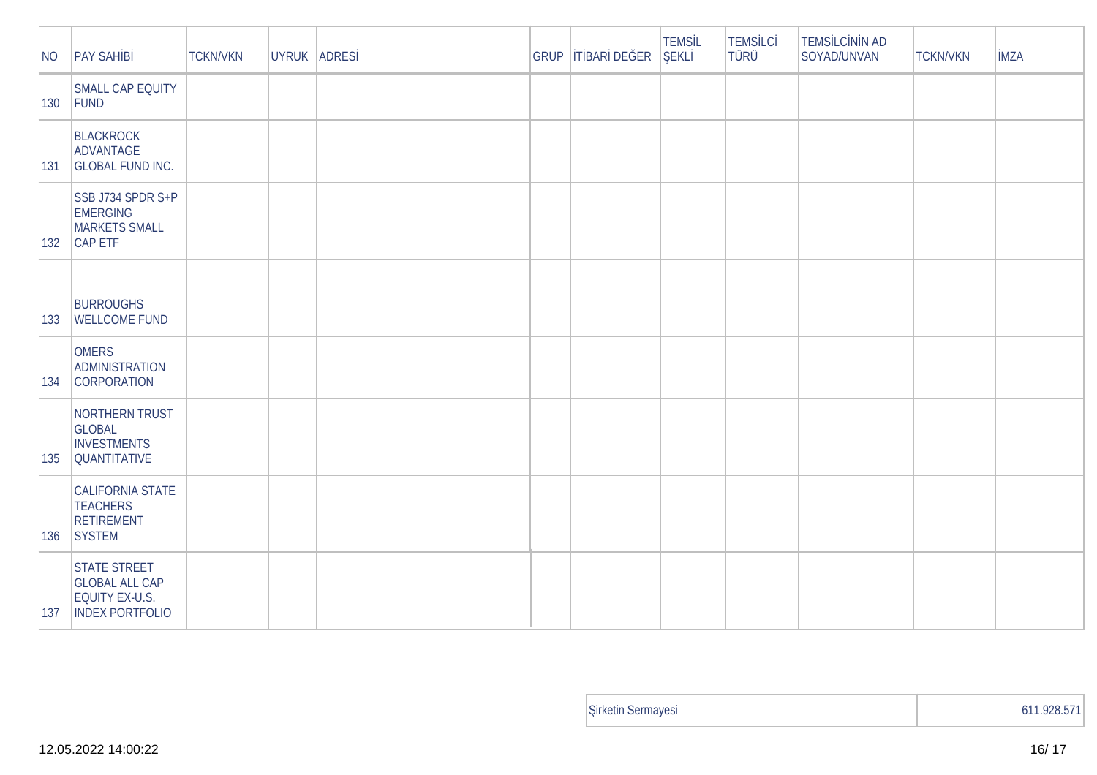| NO  | <b>PAY SAH B</b>                                                                         | <b>TCKN/VKN</b> | UYRUK ADRES | GRUP | T BAR DE ER | <b>TEMSL</b><br>EKL | <b>TEMSLC</b><br>TÜRÜ | TEMS LC N N AD<br>SOYAD/UNVAN | <b>TCKN/VKN</b> | <b>MZA</b> |
|-----|------------------------------------------------------------------------------------------|-----------------|-------------|------|-------------|---------------------|-----------------------|-------------------------------|-----------------|------------|
| 130 | SMALL CAP EQUITY<br>FUND                                                                 |                 |             |      |             |                     |                       |                               |                 |            |
| 131 | <b>BLACKROCK</b><br>ADVANTAGE<br><b>GLOBAL FUND INC.</b>                                 |                 |             |      |             |                     |                       |                               |                 |            |
| 132 | SSB J734 SPDR S+P<br><b>EMERGING</b><br><b>MARKETS SMALL</b><br>CAP ETF                  |                 |             |      |             |                     |                       |                               |                 |            |
| 133 | <b>BURROUGHS</b><br><b>WELLCOME FUND</b>                                                 |                 |             |      |             |                     |                       |                               |                 |            |
| 134 | <b>OMERS</b><br><b>ADMINISTRATION</b><br><b>CORPORATION</b>                              |                 |             |      |             |                     |                       |                               |                 |            |
| 135 | NORTHERN TRUST<br><b>GLOBAL</b><br><b>INVESTMENTS</b><br><b>QUANTITATIVE</b>             |                 |             |      |             |                     |                       |                               |                 |            |
| 136 | CALIFORNIA STATE<br><b>TEACHERS</b><br><b>RETIREMENT</b><br>SYSTEM                       |                 |             |      |             |                     |                       |                               |                 |            |
| 137 | <b>STATE STREET</b><br><b>GLOBAL ALL CAP</b><br>EQUITY EX-U.S.<br><b>INDEX PORTFOLIO</b> |                 |             |      |             |                     |                       |                               |                 |            |